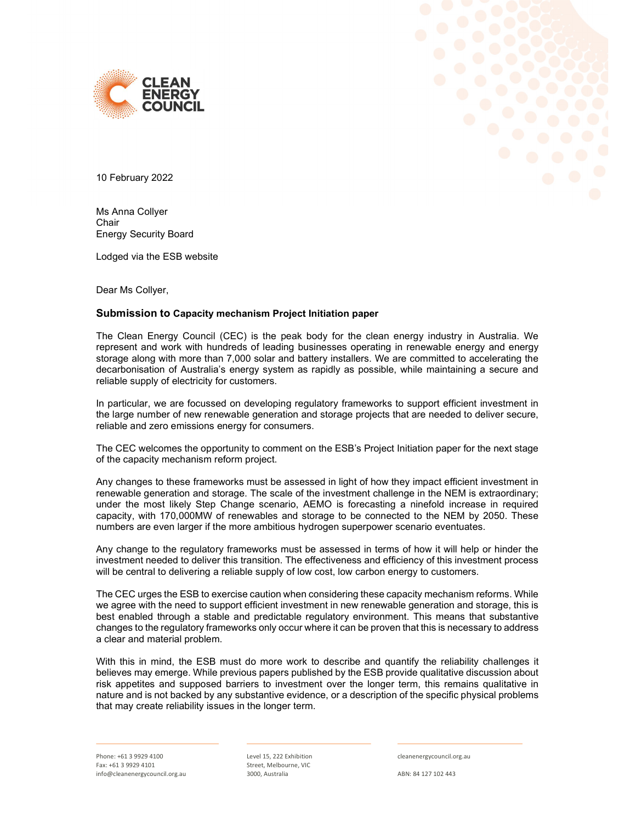



10 February 2022

Ms Anna Collyer Chair Energy Security Board

Lodged via the ESB website

Dear Ms Collyer,

# Submission to Capacity mechanism Project Initiation paper

The Clean Energy Council (CEC) is the peak body for the clean energy industry in Australia. We represent and work with hundreds of leading businesses operating in renewable energy and energy storage along with more than 7,000 solar and battery installers. We are committed to accelerating the decarbonisation of Australia's energy system as rapidly as possible, while maintaining a secure and reliable supply of electricity for customers.

In particular, we are focussed on developing regulatory frameworks to support efficient investment in the large number of new renewable generation and storage projects that are needed to deliver secure, reliable and zero emissions energy for consumers.

The CEC welcomes the opportunity to comment on the ESB's Project Initiation paper for the next stage of the capacity mechanism reform project.

Any changes to these frameworks must be assessed in light of how they impact efficient investment in renewable generation and storage. The scale of the investment challenge in the NEM is extraordinary; under the most likely Step Change scenario, AEMO is forecasting a ninefold increase in required capacity, with 170,000MW of renewables and storage to be connected to the NEM by 2050. These numbers are even larger if the more ambitious hydrogen superpower scenario eventuates.

Any change to the regulatory frameworks must be assessed in terms of how it will help or hinder the investment needed to deliver this transition. The effectiveness and efficiency of this investment process will be central to delivering a reliable supply of low cost, low carbon energy to customers.

The CEC urges the ESB to exercise caution when considering these capacity mechanism reforms. While we agree with the need to support efficient investment in new renewable generation and storage, this is best enabled through a stable and predictable regulatory environment. This means that substantive changes to the regulatory frameworks only occur where it can be proven that this is necessary to address a clear and material problem.

With this in mind, the ESB must do more work to describe and quantify the reliability challenges it believes may emerge. While previous papers published by the ESB provide qualitative discussion about risk appetites and supposed barriers to investment over the longer term, this remains qualitative in nature and is not backed by any substantive evidence, or a description of the specific physical problems that may create reliability issues in the longer term.

Phone: +61 3 9929 4100 Fax: +61 3 9929 4101 info@cleanenergycouncil.org.au Level 15, 222 Exhibition Street, Melbourne, VIC 3000, Australia

cleanenergycouncil.org.au

ABN: 84 127 102 443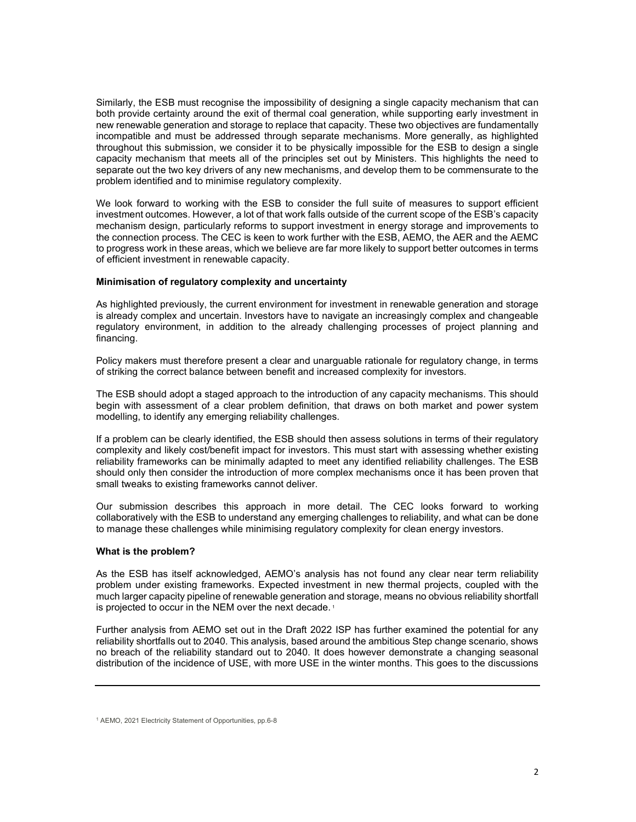Similarly, the ESB must recognise the impossibility of designing a single capacity mechanism that can both provide certainty around the exit of thermal coal generation, while supporting early investment in new renewable generation and storage to replace that capacity. These two objectives are fundamentally incompatible and must be addressed through separate mechanisms. More generally, as highlighted throughout this submission, we consider it to be physically impossible for the ESB to design a single capacity mechanism that meets all of the principles set out by Ministers. This highlights the need to separate out the two key drivers of any new mechanisms, and develop them to be commensurate to the problem identified and to minimise regulatory complexity.

We look forward to working with the ESB to consider the full suite of measures to support efficient investment outcomes. However, a lot of that work falls outside of the current scope of the ESB's capacity mechanism design, particularly reforms to support investment in energy storage and improvements to the connection process. The CEC is keen to work further with the ESB, AEMO, the AER and the AEMC to progress work in these areas, which we believe are far more likely to support better outcomes in terms of efficient investment in renewable capacity.

# Minimisation of regulatory complexity and uncertainty

As highlighted previously, the current environment for investment in renewable generation and storage is already complex and uncertain. Investors have to navigate an increasingly complex and changeable regulatory environment, in addition to the already challenging processes of project planning and financing.

Policy makers must therefore present a clear and unarguable rationale for regulatory change, in terms of striking the correct balance between benefit and increased complexity for investors.

The ESB should adopt a staged approach to the introduction of any capacity mechanisms. This should begin with assessment of a clear problem definition, that draws on both market and power system modelling, to identify any emerging reliability challenges.

If a problem can be clearly identified, the ESB should then assess solutions in terms of their regulatory complexity and likely cost/benefit impact for investors. This must start with assessing whether existing reliability frameworks can be minimally adapted to meet any identified reliability challenges. The ESB should only then consider the introduction of more complex mechanisms once it has been proven that small tweaks to existing frameworks cannot deliver.

Our submission describes this approach in more detail. The CEC looks forward to working collaboratively with the ESB to understand any emerging challenges to reliability, and what can be done to manage these challenges while minimising regulatory complexity for clean energy investors.

# What is the problem?

As the ESB has itself acknowledged, AEMO's analysis has not found any clear near term reliability problem under existing frameworks. Expected investment in new thermal projects, coupled with the much larger capacity pipeline of renewable generation and storage, means no obvious reliability shortfall is projected to occur in the NEM over the next decade.<sup>1</sup>

Further analysis from AEMO set out in the Draft 2022 ISP has further examined the potential for any reliability shortfalls out to 2040. This analysis, based around the ambitious Step change scenario, shows no breach of the reliability standard out to 2040. It does however demonstrate a changing seasonal distribution of the incidence of USE, with more USE in the winter months. This goes to the discussions

<sup>1</sup> AEMO, 2021 Electricity Statement of Opportunities, pp.6-8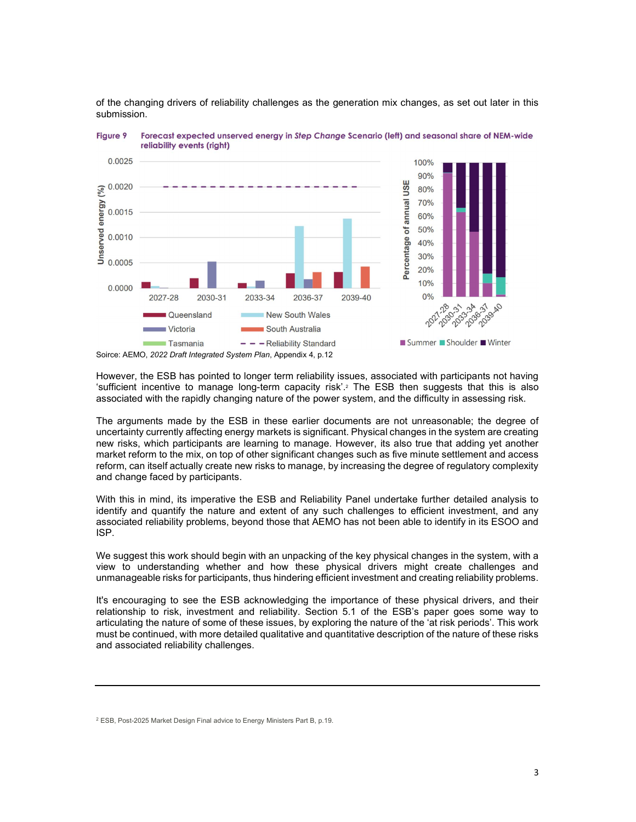

of the changing drivers of reliability challenges as the generation mix changes, as set out later in this submission.

However, the ESB has pointed to longer term reliability issues, associated with participants not having 'sufficient incentive to manage long-term capacity risk'.2 The ESB then suggests that this is also associated with the rapidly changing nature of the power system, and the difficulty in assessing risk.

The arguments made by the ESB in these earlier documents are not unreasonable; the degree of uncertainty currently affecting energy markets is significant. Physical changes in the system are creating new risks, which participants are learning to manage. However, its also true that adding yet another market reform to the mix, on top of other significant changes such as five minute settlement and access reform, can itself actually create new risks to manage, by increasing the degree of regulatory complexity and change faced by participants.

With this in mind, its imperative the ESB and Reliability Panel undertake further detailed analysis to identify and quantify the nature and extent of any such challenges to efficient investment, and any associated reliability problems, beyond those that AEMO has not been able to identify in its ESOO and ISP.

We suggest this work should begin with an unpacking of the key physical changes in the system, with a view to understanding whether and how these physical drivers might create challenges and unmanageable risks for participants, thus hindering efficient investment and creating reliability problems.

It's encouraging to see the ESB acknowledging the importance of these physical drivers, and their relationship to risk, investment and reliability. Section 5.1 of the ESB's paper goes some way to articulating the nature of some of these issues, by exploring the nature of the 'at risk periods'. This work must be continued, with more detailed qualitative and quantitative description of the nature of these risks and associated reliability challenges.

Soirce: AEMO, 2022 Draft Integrated System Plan, Appendix 4, p.12

<sup>&</sup>lt;sup>2</sup> ESB, Post-2025 Market Design Final advice to Energy Ministers Part B, p.19.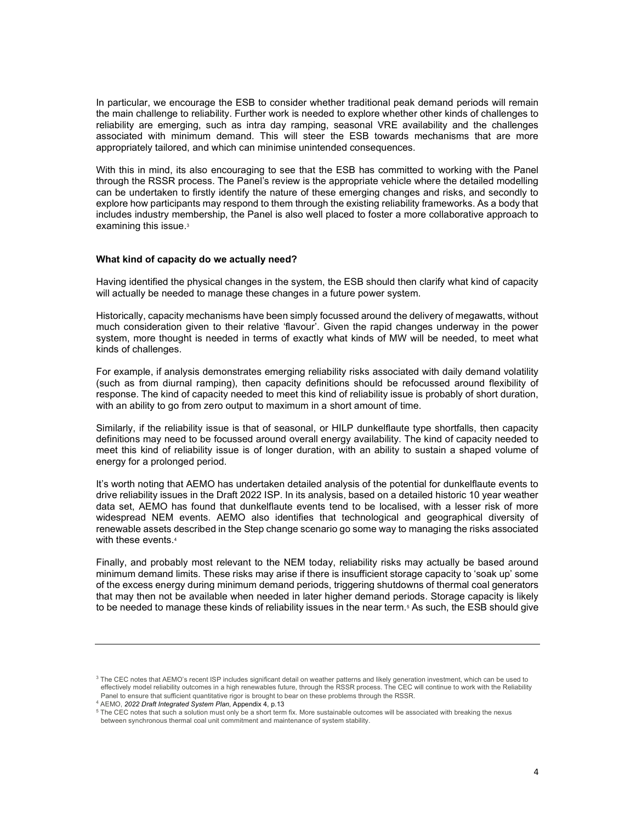In particular, we encourage the ESB to consider whether traditional peak demand periods will remain the main challenge to reliability. Further work is needed to explore whether other kinds of challenges to reliability are emerging, such as intra day ramping, seasonal VRE availability and the challenges associated with minimum demand. This will steer the ESB towards mechanisms that are more appropriately tailored, and which can minimise unintended consequences.

With this in mind, its also encouraging to see that the ESB has committed to working with the Panel through the RSSR process. The Panel's review is the appropriate vehicle where the detailed modelling can be undertaken to firstly identify the nature of these emerging changes and risks, and secondly to explore how participants may respond to them through the existing reliability frameworks. As a body that includes industry membership, the Panel is also well placed to foster a more collaborative approach to examining this issue.<sup>3</sup>

#### What kind of capacity do we actually need?

Having identified the physical changes in the system, the ESB should then clarify what kind of capacity will actually be needed to manage these changes in a future power system.

Historically, capacity mechanisms have been simply focussed around the delivery of megawatts, without much consideration given to their relative 'flavour'. Given the rapid changes underway in the power system, more thought is needed in terms of exactly what kinds of MW will be needed, to meet what kinds of challenges.

For example, if analysis demonstrates emerging reliability risks associated with daily demand volatility (such as from diurnal ramping), then capacity definitions should be refocussed around flexibility of response. The kind of capacity needed to meet this kind of reliability issue is probably of short duration, with an ability to go from zero output to maximum in a short amount of time.

Similarly, if the reliability issue is that of seasonal, or HILP dunkelflaute type shortfalls, then capacity definitions may need to be focussed around overall energy availability. The kind of capacity needed to meet this kind of reliability issue is of longer duration, with an ability to sustain a shaped volume of energy for a prolonged period.

It's worth noting that AEMO has undertaken detailed analysis of the potential for dunkelflaute events to drive reliability issues in the Draft 2022 ISP. In its analysis, based on a detailed historic 10 year weather data set, AEMO has found that dunkelflaute events tend to be localised, with a lesser risk of more widespread NEM events. AEMO also identifies that technological and geographical diversity of renewable assets described in the Step change scenario go some way to managing the risks associated with these events.<sup>4</sup>

Finally, and probably most relevant to the NEM today, reliability risks may actually be based around minimum demand limits. These risks may arise if there is insufficient storage capacity to 'soak up' some of the excess energy during minimum demand periods, triggering shutdowns of thermal coal generators that may then not be available when needed in later higher demand periods. Storage capacity is likely to be needed to manage these kinds of reliability issues in the near term.<sup>5</sup> As such, the ESB should give

 $3$  The CEC notes that AEMO's recent ISP includes significant detail on weather patterns and likely generation investment, which can be used to effectively model reliability outcomes in a high renewables future, through the RSSR process. The CEC will continue to work with the Reliability Panel to ensure that sufficient quantitative rigor is brought to bear on these problems through the RSSR.

<sup>&</sup>lt;sup>4</sup> AEMO, 2022 Draft Integrated System Plan, Appendix 4, p.13

 $^5$  The CEC notes that such a solution must only be a short term fix. More sustainable outcomes will be associated with breaking the nexus between synchronous thermal coal unit commitment and maintenance of system stability.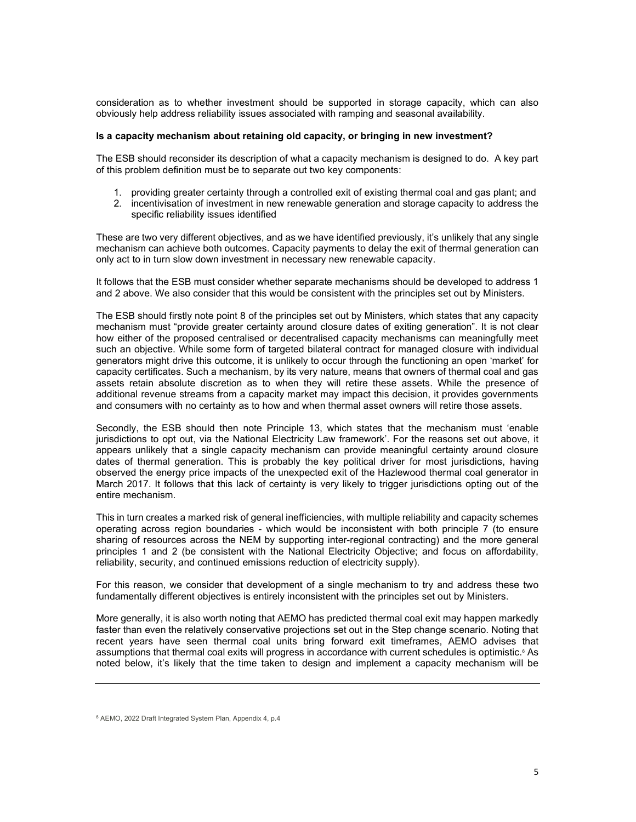consideration as to whether investment should be supported in storage capacity, which can also obviously help address reliability issues associated with ramping and seasonal availability.

### Is a capacity mechanism about retaining old capacity, or bringing in new investment?

The ESB should reconsider its description of what a capacity mechanism is designed to do. A key part of this problem definition must be to separate out two key components:

- 1. providing greater certainty through a controlled exit of existing thermal coal and gas plant; and
- 2. incentivisation of investment in new renewable generation and storage capacity to address the specific reliability issues identified

These are two very different objectives, and as we have identified previously, it's unlikely that any single mechanism can achieve both outcomes. Capacity payments to delay the exit of thermal generation can only act to in turn slow down investment in necessary new renewable capacity.

It follows that the ESB must consider whether separate mechanisms should be developed to address 1 and 2 above. We also consider that this would be consistent with the principles set out by Ministers.

The ESB should firstly note point 8 of the principles set out by Ministers, which states that any capacity mechanism must "provide greater certainty around closure dates of exiting generation". It is not clear how either of the proposed centralised or decentralised capacity mechanisms can meaningfully meet such an objective. While some form of targeted bilateral contract for managed closure with individual generators might drive this outcome, it is unlikely to occur through the functioning an open 'market' for capacity certificates. Such a mechanism, by its very nature, means that owners of thermal coal and gas assets retain absolute discretion as to when they will retire these assets. While the presence of additional revenue streams from a capacity market may impact this decision, it provides governments and consumers with no certainty as to how and when thermal asset owners will retire those assets.

Secondly, the ESB should then note Principle 13, which states that the mechanism must 'enable jurisdictions to opt out, via the National Electricity Law framework'. For the reasons set out above, it appears unlikely that a single capacity mechanism can provide meaningful certainty around closure dates of thermal generation. This is probably the key political driver for most jurisdictions, having observed the energy price impacts of the unexpected exit of the Hazlewood thermal coal generator in March 2017. It follows that this lack of certainty is very likely to trigger jurisdictions opting out of the entire mechanism.

This in turn creates a marked risk of general inefficiencies, with multiple reliability and capacity schemes operating across region boundaries - which would be inconsistent with both principle 7 (to ensure sharing of resources across the NEM by supporting inter-regional contracting) and the more general principles 1 and 2 (be consistent with the National Electricity Objective; and focus on affordability, reliability, security, and continued emissions reduction of electricity supply).

For this reason, we consider that development of a single mechanism to try and address these two fundamentally different objectives is entirely inconsistent with the principles set out by Ministers.

More generally, it is also worth noting that AEMO has predicted thermal coal exit may happen markedly faster than even the relatively conservative projections set out in the Step change scenario. Noting that recent years have seen thermal coal units bring forward exit timeframes, AEMO advises that assumptions that thermal coal exits will progress in accordance with current schedules is optimistic.<sup>6</sup> As noted below, it's likely that the time taken to design and implement a capacity mechanism will be

<sup>6</sup> AEMO, 2022 Draft Integrated System Plan, Appendix 4, p.4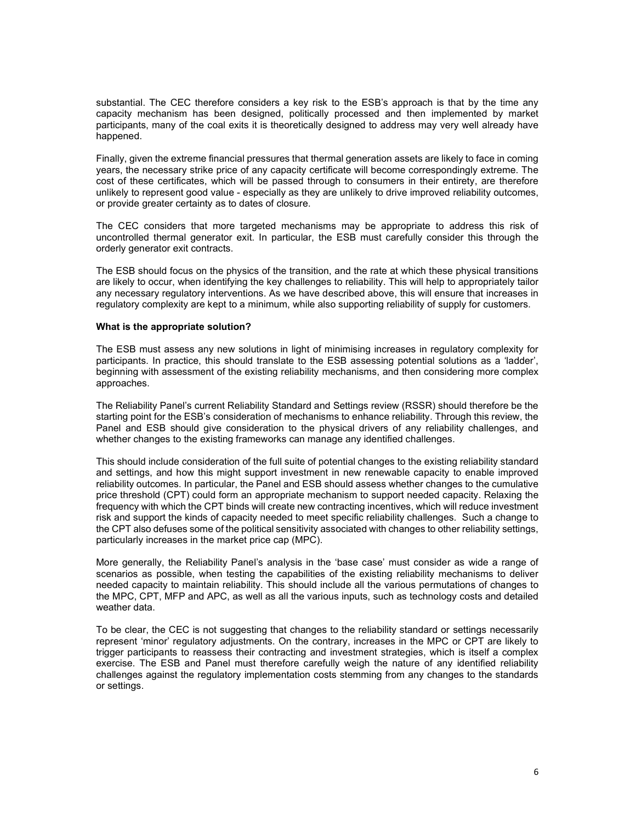substantial. The CEC therefore considers a key risk to the ESB's approach is that by the time any capacity mechanism has been designed, politically processed and then implemented by market participants, many of the coal exits it is theoretically designed to address may very well already have happened.

Finally, given the extreme financial pressures that thermal generation assets are likely to face in coming years, the necessary strike price of any capacity certificate will become correspondingly extreme. The cost of these certificates, which will be passed through to consumers in their entirety, are therefore unlikely to represent good value - especially as they are unlikely to drive improved reliability outcomes, or provide greater certainty as to dates of closure.

The CEC considers that more targeted mechanisms may be appropriate to address this risk of uncontrolled thermal generator exit. In particular, the ESB must carefully consider this through the orderly generator exit contracts.

The ESB should focus on the physics of the transition, and the rate at which these physical transitions are likely to occur, when identifying the key challenges to reliability. This will help to appropriately tailor any necessary regulatory interventions. As we have described above, this will ensure that increases in regulatory complexity are kept to a minimum, while also supporting reliability of supply for customers.

### What is the appropriate solution?

The ESB must assess any new solutions in light of minimising increases in regulatory complexity for participants. In practice, this should translate to the ESB assessing potential solutions as a 'ladder', beginning with assessment of the existing reliability mechanisms, and then considering more complex approaches.

The Reliability Panel's current Reliability Standard and Settings review (RSSR) should therefore be the starting point for the ESB's consideration of mechanisms to enhance reliability. Through this review, the Panel and ESB should give consideration to the physical drivers of any reliability challenges, and whether changes to the existing frameworks can manage any identified challenges.

This should include consideration of the full suite of potential changes to the existing reliability standard and settings, and how this might support investment in new renewable capacity to enable improved reliability outcomes. In particular, the Panel and ESB should assess whether changes to the cumulative price threshold (CPT) could form an appropriate mechanism to support needed capacity. Relaxing the frequency with which the CPT binds will create new contracting incentives, which will reduce investment risk and support the kinds of capacity needed to meet specific reliability challenges. Such a change to the CPT also defuses some of the political sensitivity associated with changes to other reliability settings, particularly increases in the market price cap (MPC).

More generally, the Reliability Panel's analysis in the 'base case' must consider as wide a range of scenarios as possible, when testing the capabilities of the existing reliability mechanisms to deliver needed capacity to maintain reliability. This should include all the various permutations of changes to the MPC, CPT, MFP and APC, as well as all the various inputs, such as technology costs and detailed weather data.

To be clear, the CEC is not suggesting that changes to the reliability standard or settings necessarily represent 'minor' regulatory adjustments. On the contrary, increases in the MPC or CPT are likely to trigger participants to reassess their contracting and investment strategies, which is itself a complex exercise. The ESB and Panel must therefore carefully weigh the nature of any identified reliability challenges against the regulatory implementation costs stemming from any changes to the standards or settings.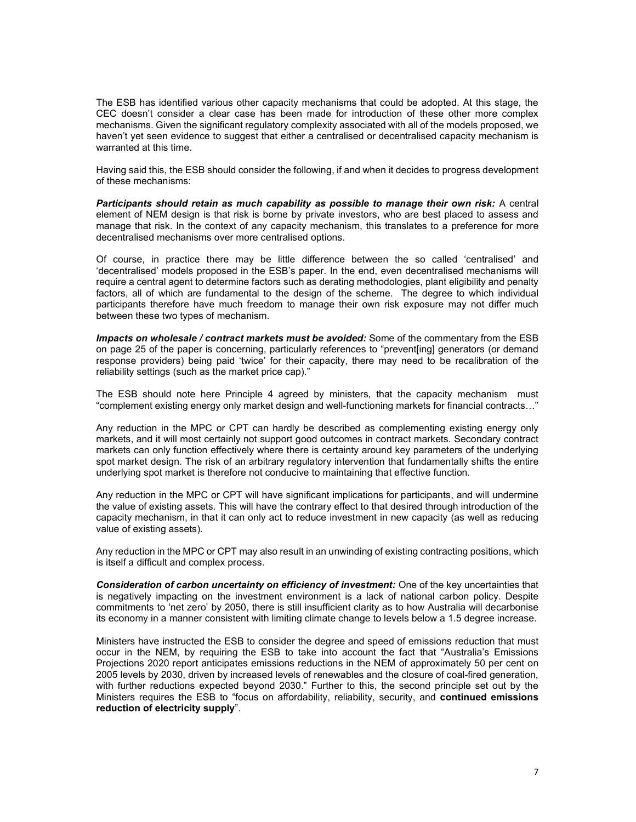The ESB has identified various other capacity mechanisms that could be adopted. At this stage, the CEC doesn't consider a clear case has been made for introduction of these other more complex mechanisms. Given the significant regulatory complexity associated with all of the models proposed, we haven't yet seen evidence to suggest that either a centralised or decentralised capacity mechanism is warranted at this time.

Having said this, the ESB should consider the following, if and when it decides to progress development of these mechanisms:

Participants should retain as much capability as possible to manage their own risk: A central element of NEM design is that risk is borne by private investors, who are best placed to assess and manage that risk. In the context of any capacity mechanism, this translates to a preference for more decentralised mechanisms over more centralised options.

Of course, in practice there may be little difference between the so called 'centralised' and 'decentralised' models proposed in the ESB's paper. In the end, even decentralised mechanisms will require a central agent to determine factors such as derating methodologies, plant eligibility and penalty factors, all of which are fundamental to the design of the scheme. The degree to which individual participants therefore have much freedom to manage their own risk exposure may not differ much between these two types of mechanism.

Impacts on wholesale / contract markets must be avoided: Some of the commentary from the ESB on page 25 of the paper is concerning, particularly references to "prevent[ing] generators (or demand response providers) being paid 'twice' for their capacity, there may need to be recalibration of the reliability settings (such as the market price cap)."

The ESB should note here Principle 4 agreed by ministers, that the capacity mechanism must "complement existing energy only market design and well-functioning markets for financial contracts…"

Any reduction in the MPC or CPT can hardly be described as complementing existing energy only markets, and it will most certainly not support good outcomes in contract markets. Secondary contract markets can only function effectively where there is certainty around key parameters of the underlying spot market design. The risk of an arbitrary regulatory intervention that fundamentally shifts the entire underlying spot market is therefore not conducive to maintaining that effective function.

Any reduction in the MPC or CPT will have significant implications for participants, and will undermine the value of existing assets. This will have the contrary effect to that desired through introduction of the capacity mechanism, in that it can only act to reduce investment in new capacity (as well as reducing value of existing assets).

Any reduction in the MPC or CPT may also result in an unwinding of existing contracting positions, which is itself a difficult and complex process.

Consideration of carbon uncertainty on efficiency of investment: One of the key uncertainties that is negatively impacting on the investment environment is a lack of national carbon policy. Despite commitments to 'net zero' by 2050, there is still insufficient clarity as to how Australia will decarbonise its economy in a manner consistent with limiting climate change to levels below a 1.5 degree increase.

Ministers have instructed the ESB to consider the degree and speed of emissions reduction that must occur in the NEM, by requiring the ESB to take into account the fact that "Australia's Emissions Projections 2020 report anticipates emissions reductions in the NEM of approximately 50 per cent on 2005 levels by 2030, driven by increased levels of renewables and the closure of coal-fired generation, with further reductions expected beyond 2030." Further to this, the second principle set out by the Ministers requires the ESB to "focus on affordability, reliability, security, and continued emissions reduction of electricity supply".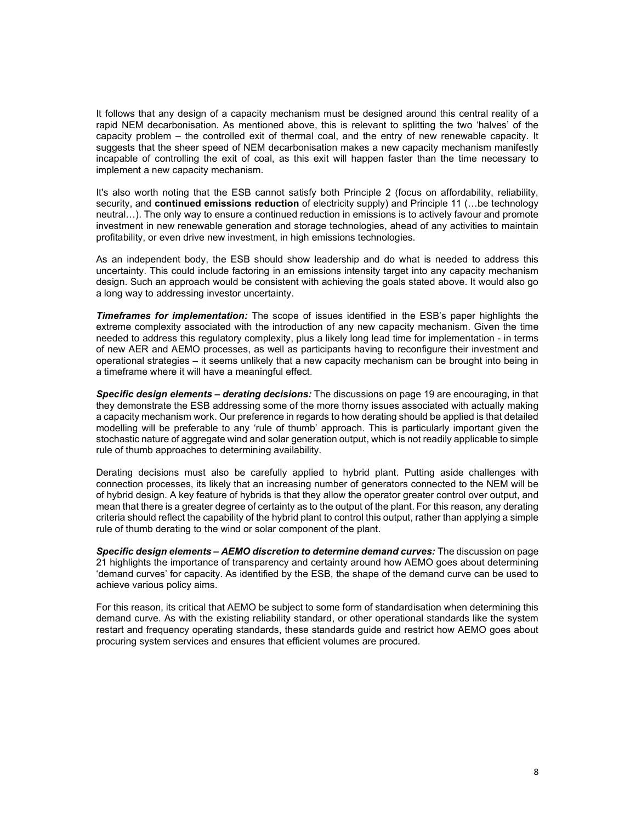It follows that any design of a capacity mechanism must be designed around this central reality of a rapid NEM decarbonisation. As mentioned above, this is relevant to splitting the two 'halves' of the capacity problem – the controlled exit of thermal coal, and the entry of new renewable capacity. It suggests that the sheer speed of NEM decarbonisation makes a new capacity mechanism manifestly incapable of controlling the exit of coal, as this exit will happen faster than the time necessary to implement a new capacity mechanism.

It's also worth noting that the ESB cannot satisfy both Principle 2 (focus on affordability, reliability, security, and continued emissions reduction of electricity supply) and Principle 11 (... be technology neutral…). The only way to ensure a continued reduction in emissions is to actively favour and promote investment in new renewable generation and storage technologies, ahead of any activities to maintain profitability, or even drive new investment, in high emissions technologies.

As an independent body, the ESB should show leadership and do what is needed to address this uncertainty. This could include factoring in an emissions intensity target into any capacity mechanism design. Such an approach would be consistent with achieving the goals stated above. It would also go a long way to addressing investor uncertainty.

**Timeframes for implementation:** The scope of issues identified in the ESB's paper highlights the extreme complexity associated with the introduction of any new capacity mechanism. Given the time needed to address this regulatory complexity, plus a likely long lead time for implementation - in terms of new AER and AEMO processes, as well as participants having to reconfigure their investment and operational strategies – it seems unlikely that a new capacity mechanism can be brought into being in a timeframe where it will have a meaningful effect.

Specific design elements – derating decisions: The discussions on page 19 are encouraging, in that they demonstrate the ESB addressing some of the more thorny issues associated with actually making a capacity mechanism work. Our preference in regards to how derating should be applied is that detailed modelling will be preferable to any 'rule of thumb' approach. This is particularly important given the stochastic nature of aggregate wind and solar generation output, which is not readily applicable to simple rule of thumb approaches to determining availability.

Derating decisions must also be carefully applied to hybrid plant. Putting aside challenges with connection processes, its likely that an increasing number of generators connected to the NEM will be of hybrid design. A key feature of hybrids is that they allow the operator greater control over output, and mean that there is a greater degree of certainty as to the output of the plant. For this reason, any derating criteria should reflect the capability of the hybrid plant to control this output, rather than applying a simple rule of thumb derating to the wind or solar component of the plant.

Specific design elements – AEMO discretion to determine demand curves: The discussion on page 21 highlights the importance of transparency and certainty around how AEMO goes about determining 'demand curves' for capacity. As identified by the ESB, the shape of the demand curve can be used to achieve various policy aims.

For this reason, its critical that AEMO be subject to some form of standardisation when determining this demand curve. As with the existing reliability standard, or other operational standards like the system restart and frequency operating standards, these standards guide and restrict how AEMO goes about procuring system services and ensures that efficient volumes are procured.